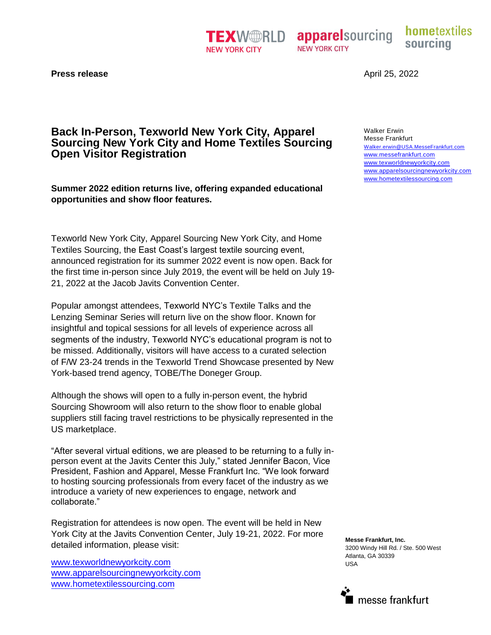**TEXWERID NEW YORK CITY** 

**apparelsourcing NEW YORK CITY** 

hometextiles sourcing

**Press release** 

# **Back In-Person, Texworld New York City, Apparel Sourcing New York City and Home Textiles Sourcing Open Visitor Registration**

**Summer 2022 edition returns live, offering expanded educational opportunities and show floor features.** 

Texworld New York City, Apparel Sourcing New York City, and Home Textiles Sourcing, the East Coast's largest textile sourcing event, announced registration for its summer 2022 event is now open. Back for the first time in-person since July 2019, the event will be held on July 19- 21, 2022 at the Jacob Javits Convention Center.

Popular amongst attendees, Texworld NYC's Textile Talks and the Lenzing Seminar Series will return live on the show floor. Known for insightful and topical sessions for all levels of experience across all segments of the industry, Texworld NYC's educational program is not to be missed. Additionally, visitors will have access to a curated selection of F/W 23-24 trends in the Texworld Trend Showcase presented by New York-based trend agency, TOBE/The Doneger Group.

Although the shows will open to a fully in-person event, the hybrid Sourcing Showroom will also return to the show floor to enable global suppliers still facing travel restrictions to be physically represented in the US marketplace.

"After several virtual editions, we are pleased to be returning to a fully inperson event at the Javits Center this July," stated Jennifer Bacon, Vice President, Fashion and Apparel, Messe Frankfurt Inc. "We look forward to hosting sourcing professionals from every facet of the industry as we introduce a variety of new experiences to engage, network and collaborate."

Registration for attendees is now open. The event will be held in New York City at the Javits Convention Center, July 19-21, 2022. For more detailed information, please visit:

www.texworldnewyorkcity.com [www.apparelsourcingnewyorkcity.com](http://www.apparelsourcingnewyorkcity.com/) www.hometextilessourcing.com

April 25, 2022

Walker Erwin Messe Frankfurt Walker.erwin@USA.MesseFrankfurt.com www.messefrankfurt.com www.texworldnewyorkcity.com [www.apparelsourcingnewyorkcity.com](http://www.apparelsourcingnewyorkcity.com/) www.hometextilessourcing.com

**Messe Frankfurt, Inc.** 3200 Windy Hill Rd. / Ste. 500 West Atlanta, GA 30339 USA

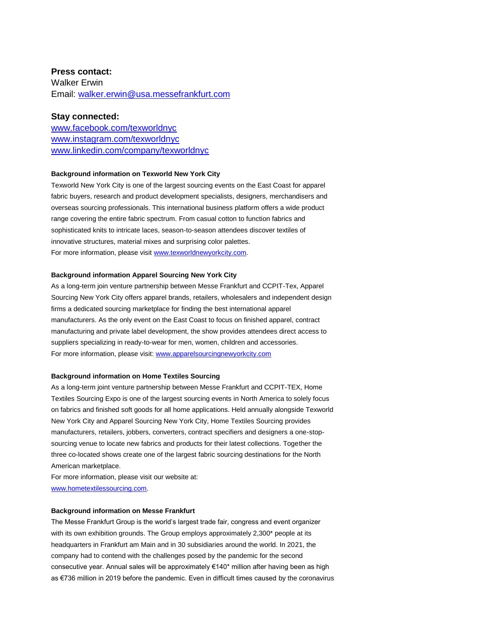# **Press contact:**

Walker Erwin Email: [walker.erwin@usa.messefrankfurt.com](mailto:walker.erwin@usa.messefrankfurt.com)

## **Stay connected:**

www.facebook.com/texworldnyc www.instagram.com/texworldnyc www.linkedin.com/company/texworldnyc

### **Background information on Texworld New York City**

Texworld New York City is one of the largest sourcing events on the East Coast for apparel fabric buyers, research and product development specialists, designers, merchandisers and overseas sourcing professionals. This international business platform offers a wide product range covering the entire fabric spectrum. From casual cotton to function fabrics and sophisticated knits to intricate laces, season-to-season attendees discover textiles of innovative structures, material mixes and surprising color palettes. For more information, please visit www.texworldnewyorkcity.com.

#### **Background information Apparel Sourcing New York City**

As a long-term join venture partnership between Messe Frankfurt and CCPIT-Tex, Apparel Sourcing New York City offers apparel brands, retailers, wholesalers and independent design firms a dedicated sourcing marketplace for finding the best international apparel manufacturers. As the only event on the East Coast to focus on finished apparel, contract manufacturing and private label development, the show provides attendees direct access to suppliers specializing in ready-to-wear for men, women, children and accessories. For more information, please visit: www.apparelsourcingnewyorkcity.com

#### **Background information on Home Textiles Sourcing**

As a long-term joint venture partnership between Messe Frankfurt and CCPIT-TEX, Home Textiles Sourcing Expo is one of the largest sourcing events in North America to solely focus on fabrics and finished soft goods for all home applications. Held annually alongside Texworld New York City and Apparel Sourcing New York City, Home Textiles Sourcing provides manufacturers, retailers, jobbers, converters, contract specifiers and designers a one-stopsourcing venue to locate new fabrics and products for their latest collections. Together the three co-located shows create one of the largest fabric sourcing destinations for the North American marketplace.

For more information, please visit our website at: www.hometextilessourcing.com.

## **Background information on Messe Frankfurt**

The Messe Frankfurt Group is the world's largest trade fair, congress and event organizer with its own exhibition grounds. The Group employs approximately 2,300<sup>\*</sup> people at its headquarters in Frankfurt am Main and in 30 subsidiaries around the world. In 2021, the company had to contend with the challenges posed by the pandemic for the second consecutive year. Annual sales will be approximately €140\* million after having been as high as €736 million in 2019 before the pandemic. Even in difficult times caused by the coronavirus